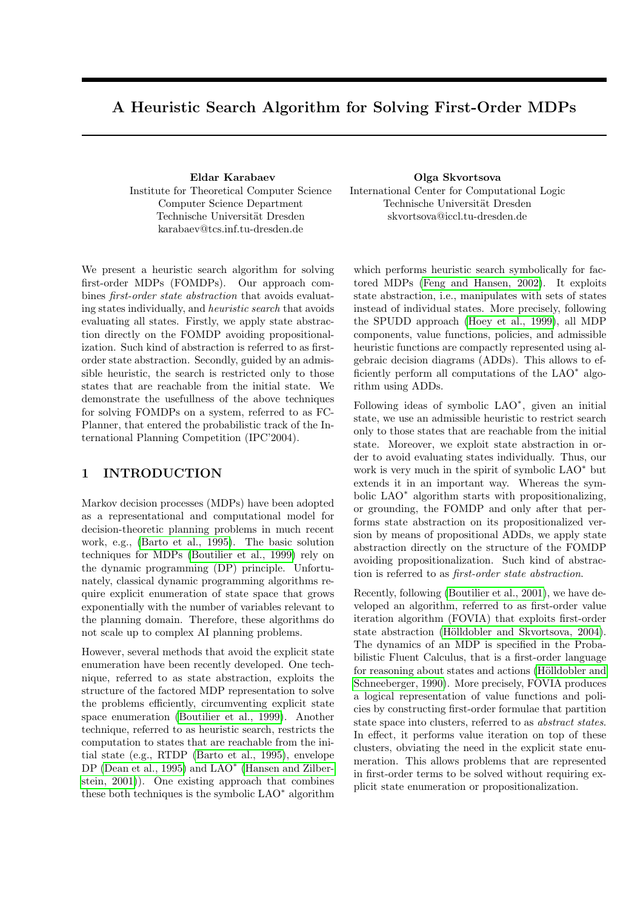# A Heuristic Search Algorithm for Solving First-Order MDPs

Eldar Karabaev Institute for Theoretical Computer Science Computer Science Department Technische Universität Dresden karabaev@tcs.inf.tu-dresden.de

We present a heuristic search algorithm for solving first-order MDPs (FOMDPs). Our approach combines first-order state abstraction that avoids evaluating states individually, and heuristic search that avoids evaluating all states. Firstly, we apply state abstraction directly on the FOMDP avoiding propositionalization. Such kind of abstraction is referred to as firstorder state abstraction. Secondly, guided by an admissible heuristic, the search is restricted only to those states that are reachable from the initial state. We demonstrate the usefullness of the above techniques for solving FOMDPs on a system, referred to as FC-Planner, that entered the probabilistic track of the International Planning Competition (IPC'2004).

### 1 INTRODUCTION

Markov decision processes (MDPs) have been adopted as a representational and computational model for decision-theoretic planning problems in much recent work, e.g., [\(Barto et al., 1995\)](#page-7-0). The basic solution techniques for MDPs [\(Boutilier et al., 1999\)](#page-7-1) rely on the dynamic programming (DP) principle. Unfortunately, classical dynamic programming algorithms require explicit enumeration of state space that grows exponentially with the number of variables relevant to the planning domain. Therefore, these algorithms do not scale up to complex AI planning problems.

However, several methods that avoid the explicit state enumeration have been recently developed. One technique, referred to as state abstraction, exploits the structure of the factored MDP representation to solve the problems efficiently, circumventing explicit state space enumeration [\(Boutilier et al., 1999\)](#page-7-1). Another technique, referred to as heuristic search, restricts the computation to states that are reachable from the initial state (e.g., RTDP [\(Barto et al., 1995\)](#page-7-0), envelope DP [\(Dean et al., 1995\)](#page-7-2) and  $\text{LAO}^*$  [\(Hansen and Zilber](#page-7-3)[stein, 2001\)](#page-7-3)). One existing approach that combines these both techniques is the symbolic LAO<sup>∗</sup> algorithm

Olga Skvortsova International Center for Computational Logic Technische Universität Dresden skvortsova@iccl.tu-dresden.de

which performs heuristic search symbolically for factored MDPs [\(Feng and Hansen, 2002\)](#page-7-4). It exploits state abstraction, i.e., manipulates with sets of states instead of individual states. More precisely, following the SPUDD approach [\(Hoey et al., 1999\)](#page-7-5), all MDP components, value functions, policies, and admissible heuristic functions are compactly represented using algebraic decision diagrams (ADDs). This allows to efficiently perform all computations of the LAO<sup>\*</sup> algorithm using ADDs.

Following ideas of symbolic LAO<sup>∗</sup> , given an initial state, we use an admissible heuristic to restrict search only to those states that are reachable from the initial state. Moreover, we exploit state abstraction in order to avoid evaluating states individually. Thus, our work is very much in the spirit of symbolic LAO<sup>\*</sup> but extends it in an important way. Whereas the symbolic LAO<sup>∗</sup> algorithm starts with propositionalizing, or grounding, the FOMDP and only after that performs state abstraction on its propositionalized version by means of propositional ADDs, we apply state abstraction directly on the structure of the FOMDP avoiding propositionalization. Such kind of abstraction is referred to as first-order state abstraction.

Recently, following [\(Boutilier et al., 2001\)](#page-7-6), we have developed an algorithm, referred to as first-order value iteration algorithm (FOVIA) that exploits first-order state abstraction (Hölldobler and Skvortsova, 2004). The dynamics of an MDP is specified in the Probabilistic Fluent Calculus, that is a first-order language for reasoning about states and actions (Hölldobler and [Schneeberger, 1990\)](#page-7-8). More precisely, FOVIA produces a logical representation of value functions and policies by constructing first-order formulae that partition state space into clusters, referred to as abstract states. In effect, it performs value iteration on top of these clusters, obviating the need in the explicit state enumeration. This allows problems that are represented in first-order terms to be solved without requiring explicit state enumeration or propositionalization.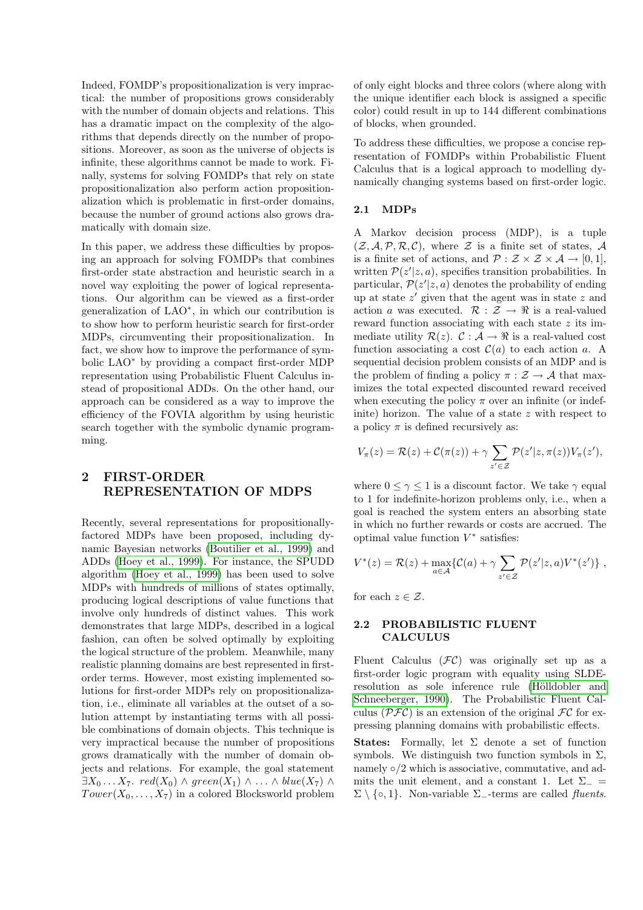Indeed, FOMDP's propositionalization is very impractical: the number of propositions grows considerably with the number of domain objects and relations. This has a dramatic impact on the complexity of the algorithms that depends directly on the number of propositions. Moreover, as soon as the universe of objects is infinite, these algorithms cannot be made to work. Finally, systems for solving FOMDPs that rely on state propositionalization also perform action propositionalization which is problematic in first-order domains, because the number of ground actions also grows dramatically with domain size.

In this paper, we address these difficulties by proposing an approach for solving FOMDPs that combines first-order state abstraction and heuristic search in a novel way exploiting the power of logical representations. Our algorithm can be viewed as a first-order generalization of LAO<sup>∗</sup> , in which our contribution is to show how to perform heuristic search for first-order MDPs, circumventing their propositionalization. In fact, we show how to improve the performance of symbolic LAO<sup>∗</sup> by providing a compact first-order MDP representation using Probabilistic Fluent Calculus instead of propositional ADDs. On the other hand, our approach can be considered as a way to improve the efficiency of the FOVIA algorithm by using heuristic search together with the symbolic dynamic programming.

### 2 FIRST-ORDER REPRESENTATION OF MDPS

Recently, several representations for propositionallyfactored MDPs have been proposed, including dynamic Bayesian networks [\(Boutilier et al., 1999\)](#page-7-1) and ADDs [\(Hoey et al., 1999\)](#page-7-5). For instance, the SPUDD algorithm [\(Hoey et al., 1999\)](#page-7-5) has been used to solve MDPs with hundreds of millions of states optimally, producing logical descriptions of value functions that involve only hundreds of distinct values. This work demonstrates that large MDPs, described in a logical fashion, can often be solved optimally by exploiting the logical structure of the problem. Meanwhile, many realistic planning domains are best represented in firstorder terms. However, most existing implemented solutions for first-order MDPs rely on propositionalization, i.e., eliminate all variables at the outset of a solution attempt by instantiating terms with all possible combinations of domain objects. This technique is very impractical because the number of propositions grows dramatically with the number of domain objects and relations. For example, the goal statement  $\exists X_0 \ldots X_7$ .  $\text{red}(X_0) \wedge \text{green}(X_1) \wedge \ldots \wedge \text{blue}(X_7) \wedge$  $Tower(X_0, \ldots, X_7)$  in a colored Blocksworld problem of only eight blocks and three colors (where along with the unique identifier each block is assigned a specific color) could result in up to 144 different combinations of blocks, when grounded.

To address these difficulties, we propose a concise representation of FOMDPs within Probabilistic Fluent Calculus that is a logical approach to modelling dynamically changing systems based on first-order logic.

#### 2.1 MDPs

A Markov decision process (MDP), is a tuple  $(\mathcal{Z}, \mathcal{A}, \mathcal{P}, \mathcal{R}, \mathcal{C})$ , where  $\mathcal Z$  is a finite set of states,  $\mathcal A$ is a finite set of actions, and  $\mathcal{P}: \mathcal{Z} \times \mathcal{Z} \times \mathcal{A} \rightarrow [0,1],$ written  $\mathcal{P}(z'|z,a)$ , specifies transition probabilities. In particular,  $\mathcal{P}(z'|z,a)$  denotes the probability of ending up at state  $z'$  given that the agent was in state  $z$  and action a was executed.  $\mathcal{R}: \mathcal{Z} \to \mathbb{R}$  is a real-valued reward function associating with each state  $z$  its immediate utility  $\mathcal{R}(z)$ .  $\mathcal{C}: \mathcal{A} \to \mathbb{R}$  is a real-valued cost function associating a cost  $\mathcal{C}(a)$  to each action a. A sequential decision problem consists of an MDP and is the problem of finding a policy  $\pi : \mathcal{Z} \to \mathcal{A}$  that maximizes the total expected discounted reward received when executing the policy  $\pi$  over an infinite (or indefinite) horizon. The value of a state  $z$  with respect to a policy  $\pi$  is defined recursively as:

$$
V_{\pi}(z) = \mathcal{R}(z) + \mathcal{C}(\pi(z)) + \gamma \sum_{z' \in \mathcal{Z}} \mathcal{P}(z'|z, \pi(z)) V_{\pi}(z'),
$$

where  $0 \leq \gamma \leq 1$  is a discount factor. We take  $\gamma$  equal to 1 for indefinite-horizon problems only, i.e., when a goal is reached the system enters an absorbing state in which no further rewards or costs are accrued. The optimal value function  $V^*$  satisfies:

$$
V^*(z) = \mathcal{R}(z) + \max_{a \in \mathcal{A}} \{ \mathcal{C}(a) + \gamma \sum_{z' \in \mathcal{Z}} \mathcal{P}(z'|z, a) V^*(z') \},
$$

for each  $z \in \mathcal{Z}$ .

#### 2.2 PROBABILISTIC FLUENT CALCULUS

Fluent Calculus  $(FC)$  was originally set up as a first-order logic program with equality using SLDEresolution as sole inference rule (Hölldobler and [Schneeberger, 1990\)](#page-7-8). The Probabilistic Fluent Calculus ( $\mathcal{PFC}$ ) is an extension of the original  $\mathcal{FC}$  for expressing planning domains with probabilistic effects.

**States:** Formally, let  $\Sigma$  denote a set of function symbols. We distinguish two function symbols in  $\Sigma$ , namely  $\circ/2$  which is associative, commutative, and admits the unit element, and a constant 1. Let  $\Sigma_-$  =  $\Sigma \setminus \{ \circ, 1 \}.$  Non-variable  $\Sigma$ <sub>-terms</sub> are called *fluents*.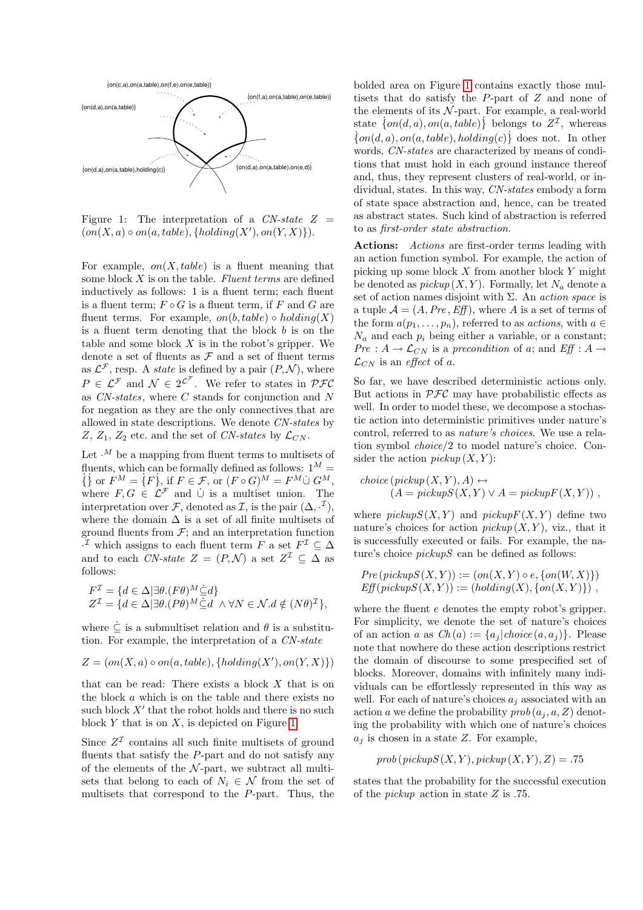

<span id="page-2-0"></span>Figure 1: The interpretation of a  $CN-state Z =$  $(on(X, a) \circ on(a, table), \{holding(X'), on(Y, X) \}).$ 

For example,  $on(X, table)$  is a fluent meaning that some block  $X$  is on the table. Fluent terms are defined inductively as follows: 1 is a fluent term; each fluent is a fluent term;  $F \circ G$  is a fluent term, if F and G are fluent terms. For example,  $on(b, table) \circ holding(X)$ is a fluent term denoting that the block  $b$  is on the table and some block  $X$  is in the robot's gripper. We denote a set of fluents as  $\mathcal F$  and a set of fluent terms as  $\mathcal{L}^{\mathcal{F}}$ , resp. A *state* is defined by a pair  $(P, \mathcal{N})$ , where  $P \in \mathcal{L}^{\mathcal{F}}$  and  $\mathcal{N} \in 2^{\mathcal{L}^{\mathcal{F}}}$ . We refer to states in  $\mathcal{PFC}$ as CN-states, where C stands for conjunction and N for negation as they are the only connectives that are allowed in state descriptions. We denote CN-states by Z,  $Z_1$ ,  $Z_2$  etc. and the set of CN-states by  $\mathcal{L}_{CN}$ .

Let  $\cdot^M$  be a mapping from fluent terms to multisets of fluents, which can be formally defined as follows:  $1^M$  =  $\{ \}$  or  $F^M = \{ F \}$ , if  $F \in \mathcal{F}$ , or  $(F \circ G)^M = F^M \cup G^M$ , where  $F, G \in \mathcal{L}^{\mathcal{F}}$  and  $\cup$  is a multiset union. The interpretation over F, denoted as I, is the pair  $(\Delta, \cdot^{\mathcal{I}})$ , where the domain  $\Delta$  is a set of all finite multisets of ground fluents from  $\mathcal{F}$ ; and an interpretation function <sup>*I*</sup> which assigns to each fluent term *F* a set  $F^{\mathcal{I}}$  ⊆ ∆ and to each CN-state  $Z = (P, \mathcal{N})$  a set  $Z^{\mathcal{I}} \subseteq \Delta$  as follows:

$$
\begin{aligned} F^{\mathcal{I}} &= \{ d \in \Delta | \exists \theta . (F\theta)^M \subseteq d \} \\ Z^{\mathcal{I}} &= \{ d \in \Delta | \exists \theta . (P\theta)^M \subseteq d \ \land \forall N \in \mathcal{N}. d \notin (N\theta)^{\mathcal{I}} \}, \end{aligned}
$$

where  $\dot{\subseteq}$  is a submultiset relation and  $\theta$  is a substitution. For example, the interpretation of a CN-state

$$
Z = (on(X, a) \circ on(a, table), \{holding(X'), on(Y, X) \})
$$

that can be read: There exists a block  $X$  that is on the block a which is on the table and there exists no such block  $X'$  that the robot holds and there is no such block  $Y$  that is on  $X$ , is depicted on Figure [1.](#page-2-0)

Since  $Z^{\mathcal{I}}$  contains all such finite multisets of ground fluents that satisfy the  $P$ -part and do not satisfy any of the elements of the  $N$ -part, we subtract all multisets that belong to each of  $N_i \in \mathcal{N}$  from the set of multisets that correspond to the P-part. Thus, the bolded area on Figure [1](#page-2-0) contains exactly those multisets that do satisfy the P-part of Z and none of the elements of its  $N$ -part. For example, a real-world state  $\{on(d, a), on(a, table)\}\$  belongs to  $Z<sup>\mathcal{I}</sup>$ , whereas  $\{on(d, a), on(a, table), holding(c)\}\$ does not. In other words, CN-states are characterized by means of conditions that must hold in each ground instance thereof and, thus, they represent clusters of real-world, or individual, states. In this way, CN-states embody a form of state space abstraction and, hence, can be treated as abstract states. Such kind of abstraction is referred to as first-order state abstraction.

Actions: *Actions* are first-order terms leading with an action function symbol. For example, the action of picking up some block  $X$  from another block  $Y$  might be denoted as  $pickup(X, Y)$ . Formally, let  $N_a$  denote a set of action names disjoint with  $\Sigma$ . An *action space* is a tuple  $\mathcal{A} = (A, Pre, Eff)$ , where A is a set of terms of the form  $a(p_1, \ldots, p_n)$ , referred to as *actions*, with  $a \in$  $N_a$  and each  $p_i$  being either a variable, or a constant; Pre :  $A \rightarrow \mathcal{L}_{CN}$  is a precondition of a; and Eff :  $A \rightarrow$  $\mathcal{L}_{CN}$  is an *effect* of a.

So far, we have described deterministic actions only. But actions in  $\mathcal{PFC}$  may have probabilistic effects as well. In order to model these, we decompose a stochastic action into deterministic primitives under nature's control, referred to as nature's choices. We use a relation symbol choice/2 to model nature's choice. Consider the action  $\text{pickup}(X, Y)$ :

$$
choice(pickup(X, Y), A) \leftrightarrow (A = pickupS(X, Y) \lor A = pickupF(X, Y)),
$$

where  $pickupS(X, Y)$  and  $pickupF(X, Y)$  define two nature's choices for action  $\text{pickup}(X, Y)$ , viz., that it is successfully executed or fails. For example, the nature's choice  $pickupS$  can be defined as follows:

$$
Pre(pickup S(X, Y)) := (on(X, Y) \circ e, \{on(W, X)\})
$$
  
Eff(pickup S(X, Y)) := (holding(X), {on(X, Y)}),

where the fluent  $e$  denotes the empty robot's gripper. For simplicity, we denote the set of nature's choices of an action a as  $Ch(a) := \{a_i | choice(a, a_i)\}\.$  Please note that nowhere do these action descriptions restrict the domain of discourse to some prespecified set of blocks. Moreover, domains with infinitely many individuals can be effortlessly represented in this way as well. For each of nature's choices  $a_i$  associated with an action a we define the probability  $prob(a_i, a, Z)$  denoting the probability with which one of nature's choices  $a_i$  is chosen in a state Z. For example,

$$
prob(pickupS(X, Y), pickup(X, Y), Z) = .75
$$

states that the probability for the successful execution of the pickup action in state Z is .75.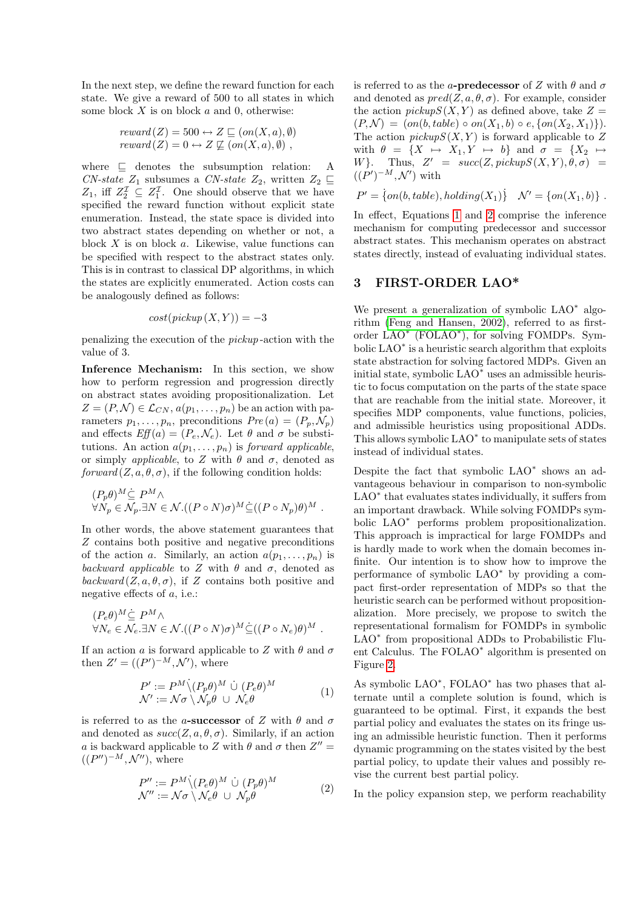In the next step, we define the reward function for each state. We give a reward of 500 to all states in which some block  $X$  is on block  $a$  and  $0$ , otherwise:

$$
reward(Z) = 500 \leftrightarrow Z \sqsubseteq (on(X, a), \emptyset)
$$

$$
reward(Z) = 0 \leftrightarrow Z \not\sqsubseteq (on(X, a), \emptyset),
$$

where  $\subseteq$  denotes the subsumption relation: A CN-state  $Z_1$  subsumes a CN-state  $Z_2$ , written  $Z_2 \sqsubseteq$  $Z_1$ , iff  $Z_2^{\mathcal{I}} \subseteq Z_1^{\mathcal{I}}$ . One should observe that we have specified the reward function without explicit state enumeration. Instead, the state space is divided into two abstract states depending on whether or not, a block  $X$  is on block  $a$ . Likewise, value functions can be specified with respect to the abstract states only. This is in contrast to classical DP algorithms, in which the states are explicitly enumerated. Action costs can be analogously defined as follows:

$$
cost(pickup(X, Y)) = -3
$$

penalizing the execution of the pickup -action with the value of 3.

Inference Mechanism: In this section, we show how to perform regression and progression directly on abstract states avoiding propositionalization. Let  $Z = (P, \mathcal{N}) \in \mathcal{L}_{CN}, a(p_1, \ldots, p_n)$  be an action with parameters  $p_1, \ldots, p_n$ , preconditions  $Pre(a) = (P_p, \mathcal{N}_p)$ and effects  $Eff(a) = (P_e, \mathcal{N}_e)$ . Let  $\theta$  and  $\sigma$  be substitutions. An action  $a(p_1, \ldots, p_n)$  is forward applicable, or simply *applicable*, to Z with  $\theta$  and  $\sigma$ , denoted as  $forward(Z, a, \theta, \sigma)$ , if the following condition holds:

$$
(P_p \theta)^M \subseteq P^M \wedge \forall N_p \in \mathcal{N}_p \cdot \exists N \in \mathcal{N}. ((P \circ N) \sigma)^M \subseteq ((P \circ N_p) \theta)^M.
$$

In other words, the above statement guarantees that Z contains both positive and negative preconditions of the action a. Similarly, an action  $a(p_1, \ldots, p_n)$  is backward applicable to Z with  $\theta$  and  $\sigma$ , denoted as  $\mathit{backward}(Z, a, \theta, \sigma)$ , if Z contains both positive and negative effects of a, i.e.:

$$
(P_e \theta)^M \dot{\subseteq} P^M \wedge \forall N_e \in \mathcal{N}_e \cdot \exists N \in \mathcal{N}.((P \circ N)\sigma)^M \dot{\subseteq} ((P \circ N_e)\theta)^M.
$$

If an action a is forward applicable to Z with  $\theta$  and  $\sigma$ then  $Z' = ((P')^{-M}, \mathcal{N}')$ , where

<span id="page-3-0"></span>
$$
P' := P^M \setminus (P_p \theta)^M \cup (P_e \theta)^M
$$
  

$$
\mathcal{N}' := \mathcal{N}\sigma \setminus \mathcal{N}_p \theta \cup \mathcal{N}_e \theta
$$
 (1)

is referred to as the a-successor of Z with  $\theta$  and  $\sigma$ and denoted as  $succ(Z, a, \theta, \sigma)$ . Similarly, if an action a is backward applicable to Z with  $\theta$  and  $\sigma$  then  $Z'' =$  $((P'')^{-M},\mathcal{N}'')$ , where

<span id="page-3-1"></span>
$$
P'' := P^M \setminus (P_e \theta)^M \cup (P_p \theta)^M
$$
  

$$
\mathcal{N}'' := \mathcal{N}\sigma \setminus \mathcal{N}_e \theta \cup \mathcal{N}_p \theta
$$
 (2)

is referred to as the a-predecessor of Z with  $\theta$  and  $\sigma$ and denoted as  $pred(Z, a, \theta, \sigma)$ . For example, consider the action  $pickupS(X, Y)$  as defined above, take  $Z =$  $(P, \mathcal{N}) = (on(b, table) \circ on(X_1, b) \circ e, \{on(X_2, X_1)\}).$ The action  $\text{pic} \text{supS}(X, Y)$  is forward applicable to Z with  $\theta = \{X \mapsto X_1, Y \mapsto b\}$  and  $\sigma = \{X_2 \mapsto$ W}. Thus,  $Z' = succ(Z, pickupS(X, Y), \theta, \sigma) =$  $((P')^{-M}, \mathcal{N}')$  with

$$
P' = \{on(b, table), holding(X_1)\} \quad \mathcal{N}' = \{on(X_1, b)\} \; .
$$

In effect, Equations [1](#page-3-0) and [2](#page-3-1) comprise the inference mechanism for computing predecessor and successor abstract states. This mechanism operates on abstract states directly, instead of evaluating individual states.

### 3 FIRST-ORDER LAO\*

We present a generalization of symbolic LAO<sup>∗</sup> algorithm [\(Feng and Hansen, 2002\)](#page-7-4), referred to as firstorder LAO<sup>\*</sup> (FOLAO<sup>\*</sup>), for solving FOMDPs. Symbolic LAO<sup>∗</sup> is a heuristic search algorithm that exploits state abstraction for solving factored MDPs. Given an initial state, symbolic LAO<sup>∗</sup> uses an admissible heuristic to focus computation on the parts of the state space that are reachable from the initial state. Moreover, it specifies MDP components, value functions, policies, and admissible heuristics using propositional ADDs. This allows symbolic LAO<sup>∗</sup> to manipulate sets of states instead of individual states.

Despite the fact that symbolic LAO<sup>∗</sup> shows an advantageous behaviour in comparison to non-symbolic LAO<sup>\*</sup> that evaluates states individually, it suffers from an important drawback. While solving FOMDPs symbolic LAO<sup>∗</sup> performs problem propositionalization. This approach is impractical for large FOMDPs and is hardly made to work when the domain becomes infinite. Our intention is to show how to improve the performance of symbolic LAO<sup>∗</sup> by providing a compact first-order representation of MDPs so that the heuristic search can be performed without propositionalization. More precisely, we propose to switch the representational formalism for FOMDPs in symbolic LAO<sup>∗</sup> from propositional ADDs to Probabilistic Fluent Calculus. The FOLAO<sup>∗</sup> algorithm is presented on Figure [2.](#page-4-0)

As symbolic LAO<sup>∗</sup> , FOLAO<sup>∗</sup> has two phases that alternate until a complete solution is found, which is guaranteed to be optimal. First, it expands the best partial policy and evaluates the states on its fringe using an admissible heuristic function. Then it performs dynamic programming on the states visited by the best partial policy, to update their values and possibly revise the current best partial policy.

In the policy expansion step, we perform reachability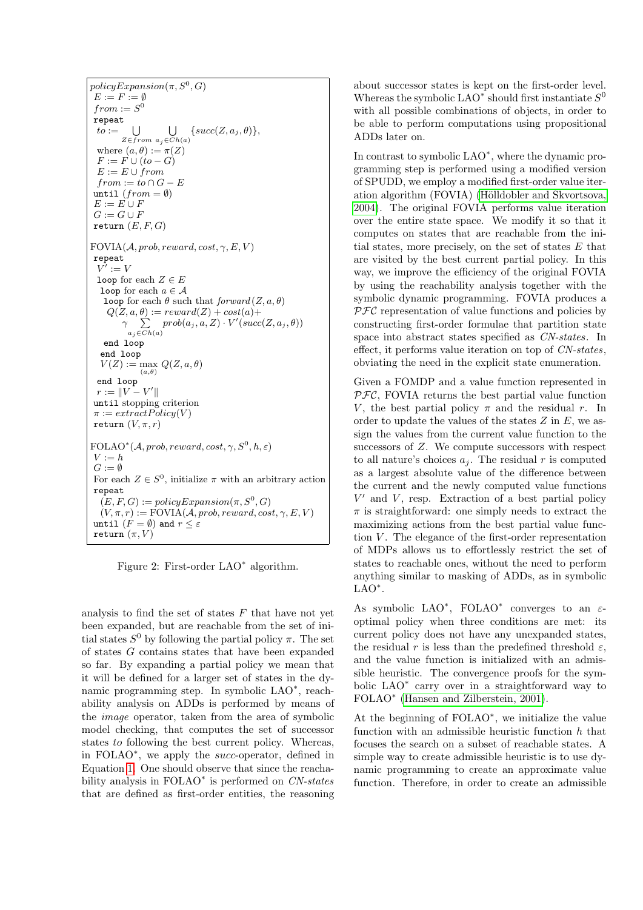$policyExpansion(\pi, S^0, G)$  $E := F := \emptyset$  $from := S^0$ repeat  $to := \bigcup_{Z \in from \ a_i \in Cl}$  $a_j \in Ch(a)$  $\{succ(Z, a_j, \theta)\},\$ where  $(a, \theta) := \pi(Z)$  $F := F \cup (to - G)$  $E := E \cup from$  $from := to \cap G - E$ until  $(from = \emptyset)$  $E := E \cup F$  $G := G \cup F$ return  $(E, F, G)$  $FOVIA(\mathcal{A}, prob, reward, cost, \gamma, E, V)$ repeat  $V':=V$ loop for each  $Z \in E$ loop for each  $a \in \mathcal{A}$ loop for each  $\theta$  such that  $forward(Z, a, \theta)$  $Q(Z, a, \theta) := reward(Z) + cost(a) +$  $\gamma$   $\Sigma$  $a_i \in \overline{Ch}(a)$  $prob(a_j,a,Z) \cdot V'(succ(Z,a_j,\theta))$ end loop end loop  $V(Z) := \max_{(a,\theta)} Q(Z,a,\theta)$ end loop  $r := \|V - V'\|$ until stopping criterion  $\pi := extractPolicy(V)$ return  $(V, \pi, r)$  $\text{FOLAO}^*(\mathcal{A}, prob, reward, cost, \gamma, S^0, h, \varepsilon)$  $V := h$  $G := \emptyset$ For each  $Z \in S^0$ , initialize  $\pi$  with an arbitrary action repeat  $(E, F, G) := policyExpansion(\pi, S^0, G)$  $(V, \pi, r) := \text{FOVIA}(\mathcal{A}, \text{prob}, \text{reward}, \text{cost}, \gamma, E, V)$ until  $(F = \emptyset)$  and  $r \leq \varepsilon$ return  $(\pi, V)$ 

<span id="page-4-0"></span>Figure 2: First-order LAO<sup>∗</sup> algorithm.

analysis to find the set of states  $F$  that have not yet been expanded, but are reachable from the set of initial states  $S^0$  by following the partial policy  $\pi$ . The set of states G contains states that have been expanded so far. By expanding a partial policy we mean that it will be defined for a larger set of states in the dynamic programming step. In symbolic LAO<sup>\*</sup>, reachability analysis on ADDs is performed by means of the image operator, taken from the area of symbolic model checking, that computes the set of successor states to following the best current policy. Whereas, in FOLAO<sup>∗</sup> , we apply the succ-operator, defined in Equation [1.](#page-3-0) One should observe that since the reachability analysis in FOLAO<sup>\*</sup> is performed on CN-states that are defined as first-order entities, the reasoning about successor states is kept on the first-order level. Whereas the symbolic LAO<sup> $*$ </sup> should first instantiate  $S^0$ with all possible combinations of objects, in order to be able to perform computations using propositional ADDs later on.

In contrast to symbolic LAO<sup>∗</sup> , where the dynamic programming step is performed using a modified version of SPUDD, we employ a modified first-order value iteration algorithm (FOVIA) (Hölldobler and Skvortsova, [2004\)](#page-7-7). The original FOVIA performs value iteration over the entire state space. We modify it so that it computes on states that are reachable from the initial states, more precisely, on the set of states  $E$  that are visited by the best current partial policy. In this way, we improve the efficiency of the original FOVIA by using the reachability analysis together with the symbolic dynamic programming. FOVIA produces a  $PFC$  representation of value functions and policies by constructing first-order formulae that partition state space into abstract states specified as CN-states. In effect, it performs value iteration on top of CN-states, obviating the need in the explicit state enumeration.

Given a FOMDP and a value function represented in  $PFC$ , FOVIA returns the best partial value function V, the best partial policy  $\pi$  and the residual r. In order to update the values of the states  $Z$  in  $E$ , we assign the values from the current value function to the successors of Z. We compute successors with respect to all nature's choices  $a_i$ . The residual r is computed as a largest absolute value of the difference between the current and the newly computed value functions  $V'$  and  $V$ , resp. Extraction of a best partial policy  $\pi$  is straightforward: one simply needs to extract the maximizing actions from the best partial value function  $V$ . The elegance of the first-order representation of MDPs allows us to effortlessly restrict the set of states to reachable ones, without the need to perform anything similar to masking of ADDs, as in symbolic LAO<sup>\*</sup>.

As symbolic LAO<sup>\*</sup>, FOLAO<sup>\*</sup> converges to an  $\varepsilon$ optimal policy when three conditions are met: its current policy does not have any unexpanded states, the residual r is less than the predefined threshold  $\varepsilon$ , and the value function is initialized with an admissible heuristic. The convergence proofs for the symbolic LAO<sup>∗</sup> carry over in a straightforward way to FOLAO<sup>∗</sup> [\(Hansen and Zilberstein, 2001\)](#page-7-3).

At the beginning of FOLAO<sup>∗</sup> , we initialize the value function with an admissible heuristic function  $h$  that focuses the search on a subset of reachable states. A simple way to create admissible heuristic is to use dynamic programming to create an approximate value function. Therefore, in order to create an admissible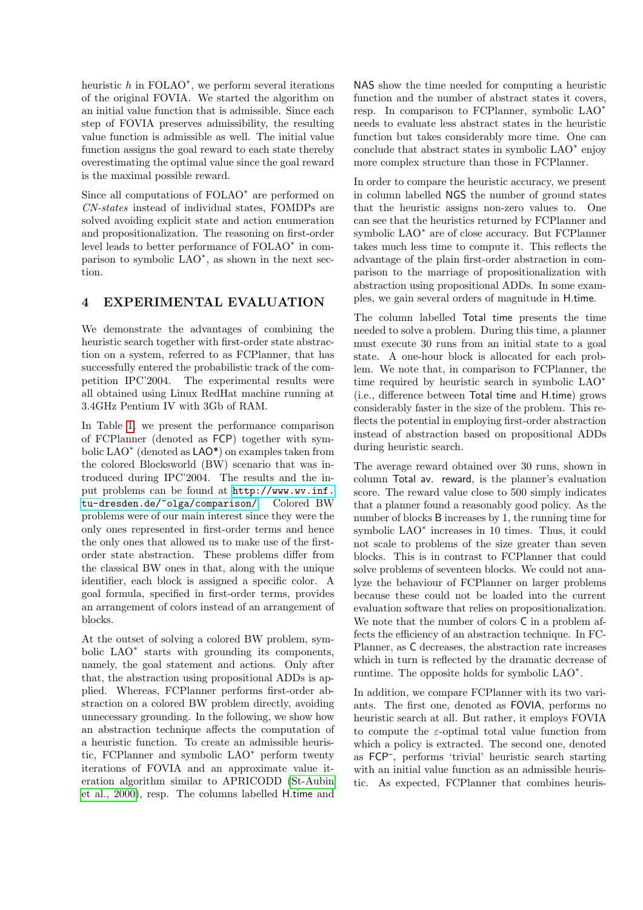heuristic  $h$  in FOLAO<sup>\*</sup>, we perform several iterations of the original FOVIA. We started the algorithm on an initial value function that is admissible. Since each step of FOVIA preserves admissibility, the resulting value function is admissible as well. The initial value function assigns the goal reward to each state thereby overestimating the optimal value since the goal reward is the maximal possible reward.

Since all computations of FOLAO<sup>∗</sup> are performed on CN-states instead of individual states, FOMDPs are solved avoiding explicit state and action enumeration and propositionalization. The reasoning on first-order level leads to better performance of FOLAO<sup>∗</sup> in comparison to symbolic LAO<sup>\*</sup>, as shown in the next section.

### 4 EXPERIMENTAL EVALUATION

We demonstrate the advantages of combining the heuristic search together with first-order state abstraction on a system, referred to as FCPlanner, that has successfully entered the probabilistic track of the competition IPC'2004. The experimental results were all obtained using Linux RedHat machine running at 3.4GHz Pentium IV with 3Gb of RAM.

In Table [1,](#page-6-0) we present the performance comparison of FCPlanner (denoted as FCP) together with symbolic LAO<sup>∗</sup> (denoted as LAO\*) on examples taken from the colored Blocksworld (BW) scenario that was introduced during IPC'2004. The results and the input problems can be found at [http://www.wv.inf.](http://www.wv.inf.tu-dresden.de/~olga/comparison/) [tu-dresden.de/~olga/comparison/](http://www.wv.inf.tu-dresden.de/~olga/comparison/). Colored BW problems were of our main interest since they were the only ones represented in first-order terms and hence the only ones that allowed us to make use of the firstorder state abstraction. These problems differ from the classical BW ones in that, along with the unique identifier, each block is assigned a specific color. A goal formula, specified in first-order terms, provides an arrangement of colors instead of an arrangement of blocks.

At the outset of solving a colored BW problem, symbolic LAO<sup>∗</sup> starts with grounding its components, namely, the goal statement and actions. Only after that, the abstraction using propositional ADDs is applied. Whereas, FCPlanner performs first-order abstraction on a colored BW problem directly, avoiding unnecessary grounding. In the following, we show how an abstraction technique affects the computation of a heuristic function. To create an admissible heuristic, FCPlanner and symbolic LAO<sup>∗</sup> perform twenty iterations of FOVIA and an approximate value iteration algorithm similar to APRICODD [\(St-Aubin](#page-7-9) [et al., 2000\)](#page-7-9), resp. The columns labelled H.time and NAS show the time needed for computing a heuristic function and the number of abstract states it covers, resp. In comparison to FCPlanner, symbolic LAO<sup>∗</sup> needs to evaluate less abstract states in the heuristic function but takes considerably more time. One can conclude that abstract states in symbolic LAO<sup>∗</sup> enjoy more complex structure than those in FCPlanner.

In order to compare the heuristic accuracy, we present in column labelled NGS the number of ground states that the heuristic assigns non-zero values to. One can see that the heuristics returned by FCPlanner and symbolic LAO<sup>∗</sup> are of close accuracy. But FCPlanner takes much less time to compute it. This reflects the advantage of the plain first-order abstraction in comparison to the marriage of propositionalization with abstraction using propositional ADDs. In some examples, we gain several orders of magnitude in H.time.

The column labelled Total time presents the time needed to solve a problem. During this time, a planner must execute 30 runs from an initial state to a goal state. A one-hour block is allocated for each problem. We note that, in comparison to FCPlanner, the time required by heuristic search in symbolic LAO<sup>∗</sup> (i.e., difference between Total time and H.time) grows considerably faster in the size of the problem. This reflects the potential in employing first-order abstraction instead of abstraction based on propositional ADDs during heuristic search.

The average reward obtained over 30 runs, shown in column Total av. reward, is the planner's evaluation score. The reward value close to 500 simply indicates that a planner found a reasonably good policy. As the number of blocks B increases by 1, the running time for symbolic LAO<sup>∗</sup> increases in 10 times. Thus, it could not scale to problems of the size greater than seven blocks. This is in contrast to FCPlanner that could solve problems of seventeen blocks. We could not analyze the behaviour of FCPlanner on larger problems because these could not be loaded into the current evaluation software that relies on propositionalization. We note that the number of colors C in a problem affects the efficiency of an abstraction technique. In FC-Planner, as C decreases, the abstraction rate increases which in turn is reflected by the dramatic decrease of runtime. The opposite holds for symbolic LAO<sup>∗</sup> .

In addition, we compare FCPlanner with its two variants. The first one, denoted as FOVIA, performs no heuristic search at all. But rather, it employs FOVIA to compute the  $\varepsilon$ -optimal total value function from which a policy is extracted. The second one, denoted as FCP– , performs 'trivial' heuristic search starting with an initial value function as an admissible heuristic. As expected, FCPlanner that combines heuris-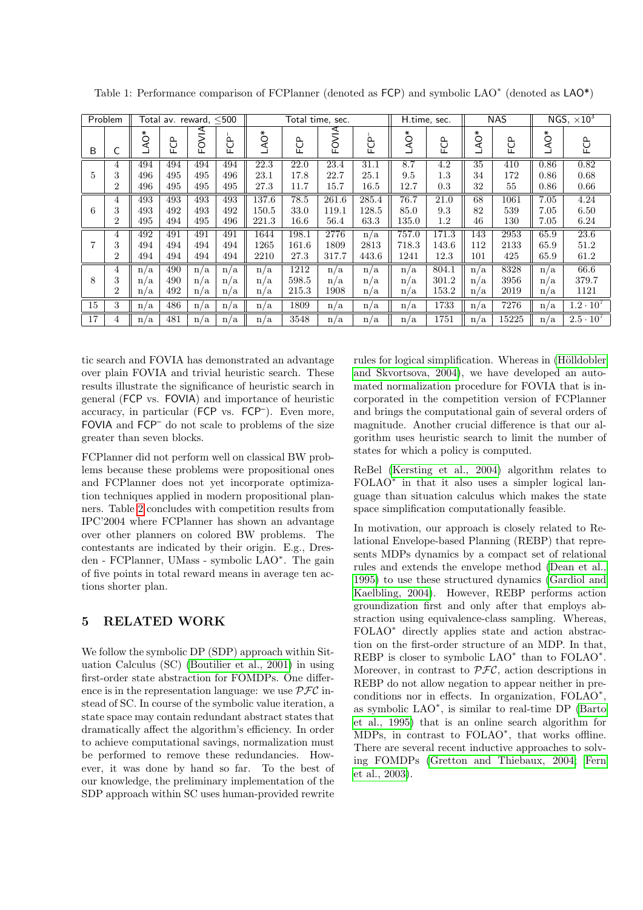| Problem        |                | Total av. reward, <500 |        |                    |             | Total time, sec. |           |       |                     | H.time, sec. |          | <b>NAS</b> |                      | NGS, $\times 10^3$ |                               |
|----------------|----------------|------------------------|--------|--------------------|-------------|------------------|-----------|-------|---------------------|--------------|----------|------------|----------------------|--------------------|-------------------------------|
| B              |                | AQ*                    | ₿<br>ட | <b>AINO</b><br>Lī. | ௨<br>○<br>ட | AQ*              | පි<br>Lī. | FOVIA | $\Delta$<br>○<br>ட் | AQ*          | РCР<br>Г | AQ*        | $\Omega$<br>○<br>Lī. | AQ*                | FCP                           |
| $\overline{5}$ | 4              | 494                    | 494    | 494                | 494         | 22.3             | 22.0      | 23.4  | 31.1                | 8.7          | 4.2      | 35         | 410                  | 0.86               | 0.82                          |
|                | 3              | 496                    | 495    | 495                | 496         | 23.1             | 17.8      | 22.7  | 25.1                | 9.5          | $1.3\,$  | 34         | 172                  | 0.86               | 0.68                          |
|                | 2              | 496                    | 495    | 495                | 495         | 27.3             | 11.7      | 15.7  | 16.5                | 12.7         | 0.3      | 32         | 55                   | 0.86               | 0.66                          |
| 6              | 4              | 493                    | 493    | 493                | 493         | 137.6            | 78.5      | 261.6 | 285.4               | 76.7         | 21.0     | 68         | 1061                 | 7.05               | 4.24                          |
|                | 3              | 493                    | 492    | 493                | 492         | 150.5            | 33.0      | 119.1 | 128.5               | 85.0         | 9.3      | 82         | 539                  | 7.05               | 6.50                          |
|                | 2              | 495                    | 494    | 495                | 496         | 221.3            | 16.6      | 56.4  | 63.3                | 135.0        | $1.2\,$  | 46         | 130                  | $7.05\,$           | 6.24                          |
| 7              | 4              | 492                    | 491    | 491                | 491         | 1644             | 198.1     | 2776  | n/a                 | 757.0        | 171.3    | 143        | 2953                 | 65.9               | 23.6                          |
|                | 3              | 494                    | 494    | 494                | 494         | 1265             | 161.6     | 1809  | 2813                | 718.3        | 143.6    | 112        | 2133                 | 65.9               | 51.2                          |
|                | $\overline{2}$ | 494                    | 494    | 494                | 494         | 2210             | 27.3      | 317.7 | 443.6               | 1241         | 12.3     | 101        | 425                  | 65.9               | 61.2                          |
| 8              | 4              | n/a                    | 490    | n/a                | n/a         | n/a              | 1212      | n/a   | n/a                 | n/a          | 804.1    | n/a        | 8328                 | n/a                | 66.6                          |
|                | 3              | n/a                    | 490    | n/a                | n/a         | n/a              | 598.5     | n/a   | n/a                 | n/a          | 301.2    | n/a        | 3956                 | n/a                | 379.7                         |
|                | $\overline{2}$ | n/a                    | 492    | n/a                | n/a         | n/a              | 215.3     | 1908  | n/a                 | n/a          | 153.2    | n/a        | 2019                 | n/a                | 1121                          |
| 15             | 3              | n/a                    | 486    | n/a                | n/a         | n/a              | 1809      | n/a   | n/a                 | n/a          | 1733     | n/a        | 7276                 | n/a                | $1.2 \cdot 10^{7}$            |
| 17             | 4              | n/a                    | 481    | n/a                | n/a         | n/a              | 3548      | n/a   | n/a                 | n/a          | 1751     | n/a        | 15225                | n/a                | $2.\overline{5 \cdot 10^{7}}$ |

<span id="page-6-0"></span>Table 1: Performance comparison of FCPlanner (denoted as FCP) and symbolic LAO<sup>\*</sup> (denoted as LAO<sup>\*</sup>)

tic search and FOVIA has demonstrated an advantage over plain FOVIA and trivial heuristic search. These results illustrate the significance of heuristic search in general (FCP vs. FOVIA) and importance of heuristic accuracy, in particular (FCP vs. FCP– ). Even more, FOVIA and FCP– do not scale to problems of the size greater than seven blocks.

FCPlanner did not perform well on classical BW problems because these problems were propositional ones and FCPlanner does not yet incorporate optimization techniques applied in modern propositional planners. Table [2](#page-7-10) concludes with competition results from IPC'2004 where FCPlanner has shown an advantage over other planners on colored BW problems. The contestants are indicated by their origin. E.g., Dresden - FCPlanner, UMass - symbolic LAO<sup>∗</sup> . The gain of five points in total reward means in average ten actions shorter plan.

## 5 RELATED WORK

We follow the symbolic DP (SDP) approach within Situation Calculus (SC) [\(Boutilier et al., 2001\)](#page-7-6) in using first-order state abstraction for FOMDPs. One difference is in the representation language: we use  $\mathcal{PFC}$  instead of SC. In course of the symbolic value iteration, a state space may contain redundant abstract states that dramatically affect the algorithm's efficiency. In order to achieve computational savings, normalization must be performed to remove these redundancies. However, it was done by hand so far. To the best of our knowledge, the preliminary implementation of the SDP approach within SC uses human-provided rewrite rules for logical simplification. Whereas in (Hölldobler [and Skvortsova, 2004\)](#page-7-7), we have developed an automated normalization procedure for FOVIA that is incorporated in the competition version of FCPlanner and brings the computational gain of several orders of magnitude. Another crucial difference is that our algorithm uses heuristic search to limit the number of states for which a policy is computed.

ReBel [\(Kersting et al., 2004\)](#page-7-11) algorithm relates to FOLAO<sup>\*</sup> in that it also uses a simpler logical language than situation calculus which makes the state space simplification computationally feasible.

In motivation, our approach is closely related to Relational Envelope-based Planning (REBP) that represents MDPs dynamics by a compact set of relational rules and extends the envelope method [\(Dean et al.,](#page-7-2) [1995\)](#page-7-2) to use these structured dynamics [\(Gardiol and](#page-7-12) [Kaelbling, 2004\)](#page-7-12). However, REBP performs action groundization first and only after that employs abstraction using equivalence-class sampling. Whereas, FOLAO<sup>∗</sup> directly applies state and action abstraction on the first-order structure of an MDP. In that, REBP is closer to symbolic LAO<sup>\*</sup> than to FOLAO<sup>\*</sup>. Moreover, in contrast to  $PFC$ , action descriptions in REBP do not allow negation to appear neither in preconditions nor in effects. In organization, FOLAO<sup>∗</sup> , as symbolic LAO<sup>∗</sup> , is similar to real-time DP [\(Barto](#page-7-0) [et al., 1995\)](#page-7-0) that is an online search algorithm for MDPs, in contrast to FOLAO<sup>∗</sup> , that works offline. There are several recent inductive approaches to solving FOMDPs [\(Gretton and Thiebaux, 2004;](#page-7-13) [Fern](#page-7-14) [et al., 2003\)](#page-7-14).